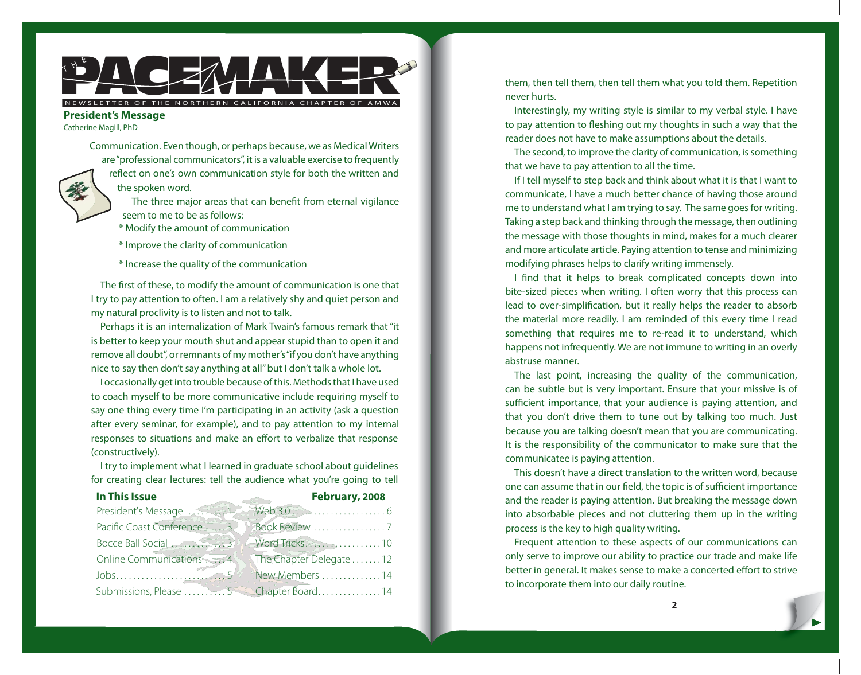# $\begin{array}{c} \text{N} \rightarrow \text{N} \rightarrow \text{N} \rightarrow \text{N} \rightarrow \text{N} \rightarrow \text{N} \rightarrow \text{N} \rightarrow \text{N} \rightarrow \text{N} \rightarrow \text{N} \rightarrow \text{N} \rightarrow \text{N} \rightarrow \text{N} \rightarrow \text{N} \rightarrow \text{N} \rightarrow \text{N} \rightarrow \text{N} \rightarrow \text{N} \rightarrow \text{N} \rightarrow \text{N} \rightarrow \text{N} \rightarrow \text{N} \rightarrow \text{N} \rightarrow \text{N} \rightarrow \text{N} \rightarrow \text{N} \rightarrow \text{N} \rightarrow \text{N} \rightarrow \text{N} \rightarrow \text{N} \rightarrow \text{$

## NEWSLETTER OF THE NORTHERN CALIFORNIA CHAPTER OF AMWA

# **President's Message**

Catherine Magill, PhD

Communication. Even though, or perhaps because, we as Medical Writers are "professional communicators", it is a valuable exercise to frequently reflect on one's own communication style for both the written and the spoken word.

> The three major areas that can benefit from eternal vigilance seem to me to be as follows:

- \* Modify the amount of communication
- \* Improve the clarity of communication
- \* Increase the quality of the communication

The first of these, to modify the amount of communication is one that I try to pay attention to often. I am a relatively shy and quiet person and my natural proclivity is to listen and not to talk.

Perhaps it is an internalization of Mark Twain's famous remark that "it is better to keep your mouth shut and appear stupid than to open it and remove all doubt", or remnants of my mother's "if you don't have anything nice to say then don't say anything at all" but I don't talk a whole lot.

I occasionally get into trouble because of this. Methods that I have used to coach myself to be more communicative include requiring myself to say one thing every time I'm participating in an activity (ask a question after every seminar, for example), and to pay attention to my internal responses to situations and make an effort to verbalize that response (constructively).

I try to implement what I learned in graduate school about guidelines for creating clear lectures: tell the audience what you're going to tell

|  | In This Issue |
|--|---------------|
|  |               |
|  |               |

| In This Issue | February, 2008                             |
|---------------|--------------------------------------------|
|               |                                            |
|               |                                            |
|               |                                            |
|               |                                            |
|               |                                            |
|               | Submissions, Please 555566 Chapter Board14 |

them, then tell them, then tell them what you told them. Repetition never hurts.

Interestingly, my writing style is similar to my verbal style. I have to pay attention to fleshing out my thoughts in such a way that the reader does not have to make assumptions about the details.

The second, to improve the clarity of communication, is something that we have to pay attention to all the time.

If I tell myself to step back and think about what it is that I want to communicate, I have a much better chance of having those around me to understand what I am trying to say. The same goes for writing. Taking a step back and thinking through the message, then outlining the message with those thoughts in mind, makes for a much clearer and more articulate article. Paying attention to tense and minimizing modifying phrases helps to clarify writing immensely.

I find that it helps to break complicated concepts down into bite-sized pieces when writing. I often worry that this process can lead to over-simplification, but it really helps the reader to absorb the material more readily. I am reminded of this every time I read something that requires me to re-read it to understand, which happens not infrequently. We are not immune to writing in an overly abstruse manner.

The last point, increasing the quality of the communication, can be subtle but is very important. Ensure that your missive is of sufficient importance, that your audience is paying attention, and that you don't drive them to tune out by talking too much. Just because you are talking doesn't mean that you are communicating. It is the responsibility of the communicator to make sure that the communicatee is paying attention.

This doesn't have a direct translation to the written word, because one can assume that in our field, the topic is of sufficient importance and the reader is paying attention. But breaking the message down into absorbable pieces and not cluttering them up in the writing process is the key to high quality writing.

Frequent attention to these aspects of our communications can only serve to improve our ability to practice our trade and make life better in general. It makes sense to make a concerted effort to strive to incorporate them into our daily routine.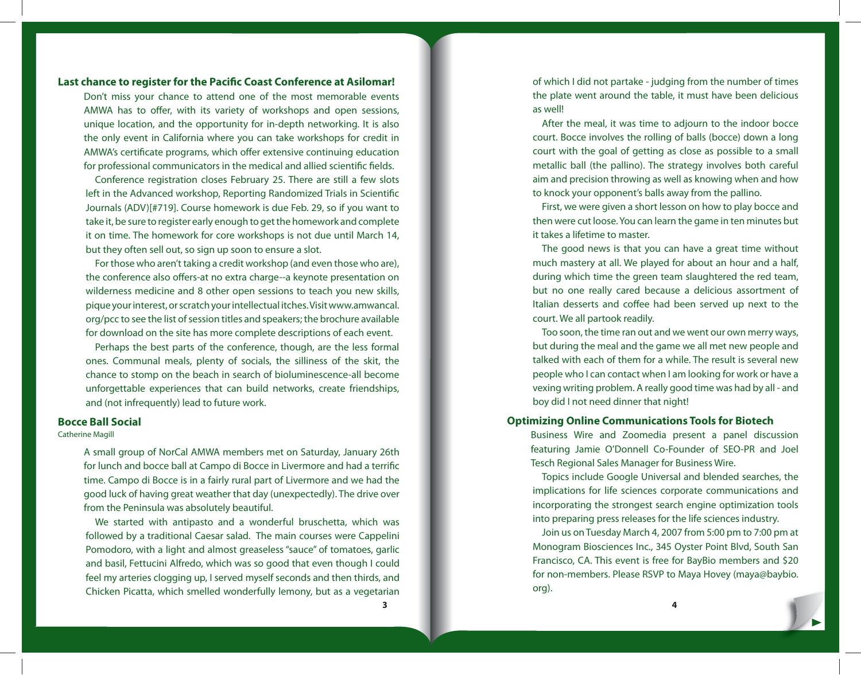## **Last chance to register for the Pacific Coast Conference at Asilomar!**

Don't miss your chance to attend one of the most memorable events AMWA has to offer, with its variety of workshops and open sessions, unique location, and the opportunity for in-depth networking. It is also the only event in California where you can take workshops for credit in AMWA's certificate programs, which offer extensive continuing education for professional communicators in the medical and allied scientific fields.

Conference registration closes February 25. There are still a few slots left in the Advanced workshop, Reporting Randomized Trials in Scientific Journals (ADV)[#719]. Course homework is due Feb. 29, so if you want to take it, be sure to register early enough to get the homework and complete it on time. The homework for core workshops is not due until March 14, but they often sell out, so sign up soon to ensure a slot.

For those who aren't taking a credit workshop (and even those who are), the conference also offers-at no extra charge--a keynote presentation on wilderness medicine and 8 other open sessions to teach you new skills, pique your interest, or scratch your intellectual itches. Visit [www.amwancal.](http://www.amwancal.org/pcc) [org/pcc](http://www.amwancal.org/pcc) to see the list of session titles and speakers; the brochure available for download on the site has more complete descriptions of each event.

Perhaps the best parts of the conference, though, are the less formal ones. Communal meals, plenty of socials, the silliness of the skit, the chance to stomp on the beach in search of bioluminescence-all become unforgettable experiences that can build networks, create friendships, and (not infrequently) lead to future work.

## **Bocce Ball Social**

#### Catherine Magill

A small group of NorCal AMWA members met on Saturday, January 26th for lunch and bocce ball at Campo di Bocce in Livermore and had a terrific time. Campo di Bocce is in a fairly rural part of Livermore and we had the good luck of having great weather that day (unexpectedly). The drive over from the Peninsula was absolutely beautiful.

We started with antipasto and a wonderful bruschetta, which was followed by a traditional Caesar salad. The main courses were Cappelini Pomodoro, with a light and almost greaseless "sauce" of tomatoes, garlic and basil, Fettucini Alfredo, which was so good that even though I could feel my arteries clogging up, I served myself seconds and then thirds, and Chicken Picatta, which smelled wonderfully lemony, but as a vegetarian

of which I did not partake - judging from the number of times the plate went around the table, it must have been delicious as well!

After the meal, it was time to adjourn to the indoor bocce court. Bocce involves the rolling of balls (bocce) down a long court with the goal of getting as close as possible to a small metallic ball (the pallino). The strategy involves both careful aim and precision throwing as well as knowing when and how to knock your opponent's balls away from the pallino.

First, we were given a short lesson on how to play bocce and then were cut loose. You can learn the game in ten minutes but it takes a lifetime to master.

The good news is that you can have a great time without much mastery at all. We played for about an hour and a half, during which time the green team slaughtered the red team, but no one really cared because a delicious assortment of Italian desserts and coffee had been served up next to the court. We all partook readily.

Too soon, the time ran out and we went our own merry ways, but during the meal and the game we all met new people and talked with each of them for a while. The result is several new people who I can contact when I am looking for work or have a vexing writing problem. A really good time was had by all - and boy did I not need dinner that night!

## **Optimizing Online Communications Tools for Biotech**

Business Wire and Zoomedia present a panel discussion featuring Jamie O'Donnell Co-Founder of SEO-PR and Joel Tesch Regional Sales Manager for Business Wire.

Topics include Google Universal and blended searches, the implications for life sciences corporate communications and incorporating the strongest search engine optimization tools into preparing press releases for the life sciences industry.

Join us on Tuesday March 4, 2007 from 5:00 pm to 7:00 pm at Monogram Biosciences Inc., 345 Oyster Point Blvd, South San Francisco, CA. This event is free for BayBio members and \$20 for non-members. Please RSVP to Maya Hovey [\(maya@baybio.](mailto: maya@baybio.org) [org\)](mailto: maya@baybio.org).

**3 4**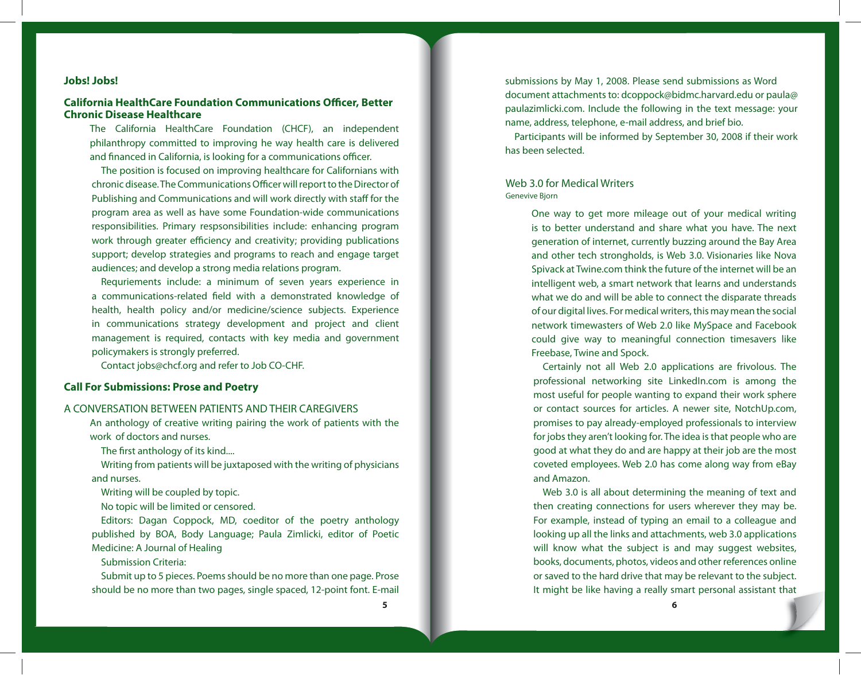## **Jobs! Jobs!**

# **California HealthCare Foundation Communications Officer, Better Chronic Disease Healthcare**

The California HealthCare Foundation (CHCF), an independent philanthropy committed to improving he way health care is delivered and financed in California, is looking for a communications officer.

The position is focused on improving healthcare for Californians with chronic disease. The Communications Officer will report to the Director of Publishing and Communications and will work directly with staff for the program area as well as have some Foundation-wide communications responsibilities. Primary respsonsibilities include: enhancing program work through greater efficiency and creativity; providing publications support; develop strategies and programs to reach and engage target audiences; and develop a strong media relations program.

Requriements include: a minimum of seven years experience in a communications-related field with a demonstrated knowledge of health, health policy and/or medicine/science subjects. Experience in communications strategy development and project and client management is required, contacts with key media and government policymakers is strongly preferred.

Contact jobs@chcf.org and refer to Job CO-CHF.

## **Call For Submissions: Prose and Poetry**

## A CONVERSATION BETWEEN PATIENTS AND THEIR CAREGIVERS

An anthology of creative writing pairing the work of patients with the work of doctors and nurses.

The first anthology of its kind....

Writing from patients will be juxtaposed with the writing of physicians and nurses.

Writing will be coupled by topic.

No topic will be limited or censored.

Editors: Dagan Coppock, MD, coeditor of the poetry anthology published by BOA, Body Language; Paula Zimlicki, editor of Poetic Medicine: A Journal of Healing

Submission Criteria:

Submit up to 5 pieces. Poems should be no more than one page. Prose should be no more than two pages, single spaced, 12-point font. E-mail submissions by May 1, 2008. Please send submissions as Word document attachments to: dcoppock@bidmc.harvard.edu or [paula@](mailto: paula@paulazimlicki.com) [paulazimlicki.com.](mailto: paula@paulazimlicki.com) Include the following in the text message: your name, address, telephone, e-mail address, and brief bio.

Participants will be informed by September 30, 2008 if their work has been selected.

## Web 3.0 for Medical Writers Genevive Bjorn

One way to get more mileage out of your medical writing is to better understand and share what you have. The next generation of internet, currently buzzing around the Bay Area and other tech strongholds, is Web 3.0. Visionaries like Nova Spivack at Twine.com think the future of the internet will be an intelligent web, a smart network that learns and understands what we do and will be able to connect the disparate threads of our digital lives. For medical writers, this may mean the social network timewasters of Web 2.0 like MySpace and Facebook could give way to meaningful connection timesavers like Freebase, Twine and Spock.

Certainly not all Web 2.0 applications are frivolous. The professional networking site LinkedIn.com is among the most useful for people wanting to expand their work sphere or contact sources for articles. A newer site, NotchUp.com, promises to pay already-employed professionals to interview for jobs they aren't looking for. The idea is that people who are good at what they do and are happy at their job are the most coveted employees. Web 2.0 has come along way from eBay and Amazon.

Web 3.0 is all about determining the meaning of text and then creating connections for users wherever they may be. For example, instead of typing an email to a colleague and looking up all the links and attachments, web 3.0 applications will know what the subject is and may suggest websites, books, documents, photos, videos and other references online or saved to the hard drive that may be relevant to the subject. It might be like having a really smart personal assistant that

**5 6**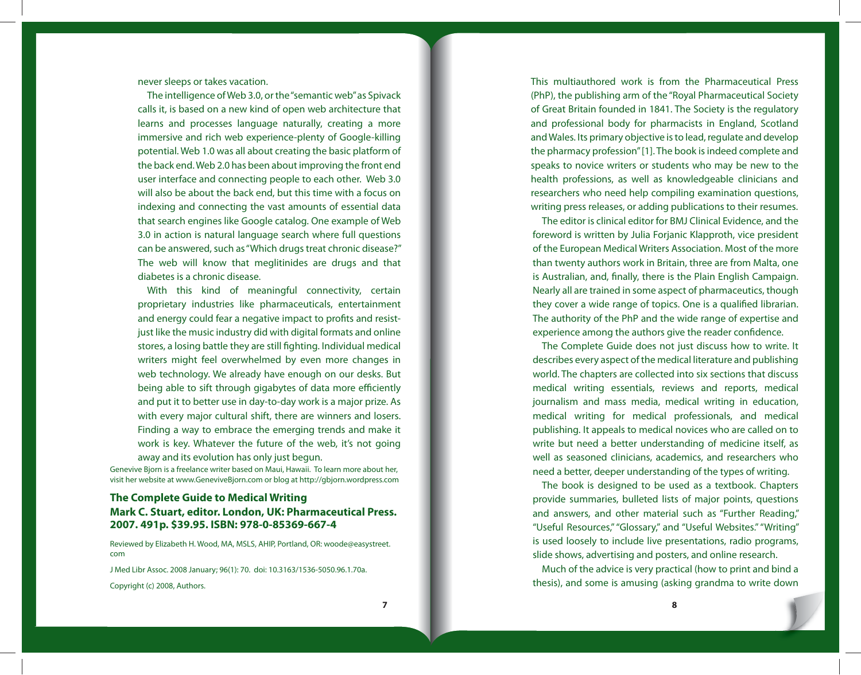never sleeps or takes vacation.

The intelligence of Web 3.0, or the "semantic web" as Spivack calls it, is based on a new kind of open web architecture that learns and processes language naturally, creating a more immersive and rich web experience-plenty of Google-killing potential. Web 1.0 was all about creating the basic platform of the back end. Web 2.0 has been about improving the front end user interface and connecting people to each other. Web 3.0 will also be about the back end, but this time with a focus on indexing and connecting the vast amounts of essential data that search engines like Google catalog. One example of Web 3.0 in action is natural language search where full questions can be answered, such as "Which drugs treat chronic disease?" The web will know that meglitinides are drugs and that diabetes is a chronic disease.

With this kind of meaningful connectivity, certain proprietary industries like pharmaceuticals, entertainment and energy could fear a negative impact to profits and resistjust like the music industry did with digital formats and online stores, a losing battle they are still fighting. Individual medical writers might feel overwhelmed by even more changes in web technology. We already have enough on our desks. But being able to sift through gigabytes of data more efficiently and put it to better use in day-to-day work is a major prize. As with every major cultural shift, there are winners and losers. Finding a way to embrace the emerging trends and make it work is key. Whatever the future of the web, it's not going away and its evolution has only just begun.

Genevive Bjorn is a freelance writer based on Maui, Hawaii. To learn more about her, visit her website at www.GeneviveBjorn.com or blog at http://gbjorn.wordpress.com

## **The Complete Guide to Medical Writing Mark C. Stuart, editor. London, UK: Pharmaceutical Press. 2007. 491p. \$39.95. ISBN: 978-0-85369-667-4**

Reviewed by Elizabeth H. Wood, MA, MSLS, AHIP, Portland, OR: [woode@easystreet.](mailto: woode@easystreet.com) [com](mailto: woode@easystreet.com)

J Med Libr Assoc. 2008 January; 96(1): 70. doi: 10.3163/1536-5050.96.1.70a.

Copyright (c) 2008, Authors.

This multiauthored work is from the Pharmaceutical Press (PhP), the publishing arm of the "Royal Pharmaceutical Society of Great Britain founded in 1841. The Society is the regulatory and professional body for pharmacists in England, Scotland and Wales. Its primary objective is to lead, regulate and develop the pharmacy profession" [1]. The book is indeed complete and speaks to novice writers or students who may be new to the health professions, as well as knowledgeable clinicians and researchers who need help compiling examination questions, writing press releases, or adding publications to their resumes.

The editor is clinical editor for BMJ Clinical Evidence, and the foreword is written by Julia Forjanic Klapproth, vice president of the European Medical Writers Association. Most of the more than twenty authors work in Britain, three are from Malta, one is Australian, and, finally, there is the Plain English Campaign. Nearly all are trained in some aspect of pharmaceutics, though they cover a wide range of topics. One is a qualified librarian. The authority of the PhP and the wide range of expertise and experience among the authors give the reader confidence.

The Complete Guide does not just discuss how to write. It describes every aspect of the medical literature and publishing world. The chapters are collected into six sections that discuss medical writing essentials, reviews and reports, medical journalism and mass media, medical writing in education, medical writing for medical professionals, and medical publishing. It appeals to medical novices who are called on to write but need a better understanding of medicine itself, as well as seasoned clinicians, academics, and researchers who need a better, deeper understanding of the types of writing.

The book is designed to be used as a textbook. Chapters provide summaries, bulleted lists of major points, questions and answers, and other material such as "Further Reading," "Useful Resources," "Glossary," and "Useful Websites." "Writing" is used loosely to include live presentations, radio programs, slide shows, advertising and posters, and online research.

Much of the advice is very practical (how to print and bind a thesis), and some is amusing (asking grandma to write down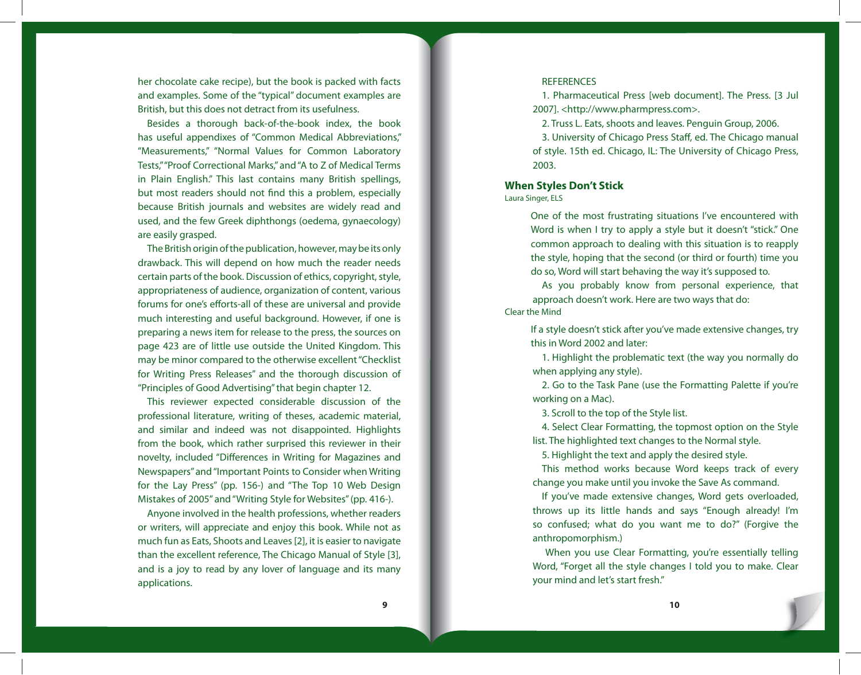her chocolate cake recipe), but the book is packed with facts and examples. Some of the "typical" document examples are British, but this does not detract from its usefulness.

Besides a thorough back-of-the-book index, the book has useful appendixes of "Common Medical Abbreviations," "Measurements," "Normal Values for Common Laboratory Tests," "Proof Correctional Marks," and "A to Z of Medical Terms in Plain English." This last contains many British spellings, but most readers should not find this a problem, especially because British journals and websites are widely read and used, and the few Greek diphthongs (oedema, gynaecology) are easily grasped.

The British origin of the publication, however, may be its only drawback. This will depend on how much the reader needs certain parts of the book. Discussion of ethics, copyright, style, appropriateness of audience, organization of content, various forums for one's efforts-all of these are universal and provide much interesting and useful background. However, if one is preparing a news item for release to the press, the sources on page 423 are of little use outside the United Kingdom. This may be minor compared to the otherwise excellent "Checklist for Writing Press Releases" and the thorough discussion of "Principles of Good Advertising" that begin chapter 12.

This reviewer expected considerable discussion of the professional literature, writing of theses, academic material, and similar and indeed was not disappointed. Highlights from the book, which rather surprised this reviewer in their novelty, included "Differences in Writing for Magazines and Newspapers" and "Important Points to Consider when Writing for the Lay Press" (pp. 156-) and "The Top 10 Web Design Mistakes of 2005" and "Writing Style for Websites" (pp. 416-).

Anyone involved in the health professions, whether readers or writers, will appreciate and enjoy this book. While not as much fun as Eats, Shoots and Leaves [2], it is easier to navigate than the excellent reference, The Chicago Manual of Style [3], and is a joy to read by any lover of language and its many applications.

### **REFERENCES**

1. Pharmaceutical Press [web document]. The Press. [3 Jul 2007]. <http://www.pharmpress.com>.

2. Truss L. Eats, shoots and leaves. Penguin Group, 2006.

3. University of Chicago Press Staff, ed. The Chicago manual of style. 15th ed. Chicago, IL: The University of Chicago Press, 2003.

## **When Styles Don't Stick**

#### Laura Singer, ELS

One of the most frustrating situations I've encountered with Word is when I try to apply a style but it doesn't "stick." One common approach to dealing with this situation is to reapply the style, hoping that the second (or third or fourth) time you do so, Word will start behaving the way it's supposed to.

As you probably know from personal experience, that approach doesn't work. Here are two ways that do: Clear the Mind

If a style doesn't stick after you've made extensive changes, try this in Word 2002 and later:

1. Highlight the problematic text (the way you normally do when applying any style).

2. Go to the Task Pane (use the Formatting Palette if you're working on a Mac).

3. Scroll to the top of the Style list.

4. Select Clear Formatting, the topmost option on the Style list. The highlighted text changes to the Normal style.

5. Highlight the text and apply the desired style.

This method works because Word keeps track of every change you make until you invoke the Save As command.

If you've made extensive changes, Word gets overloaded, throws up its little hands and says "Enough already! I'm so confused; what do you want me to do?" (Forgive the anthropomorphism.)

 When you use Clear Formatting, you're essentially telling Word, "Forget all the style changes I told you to make. Clear your mind and let's start fresh."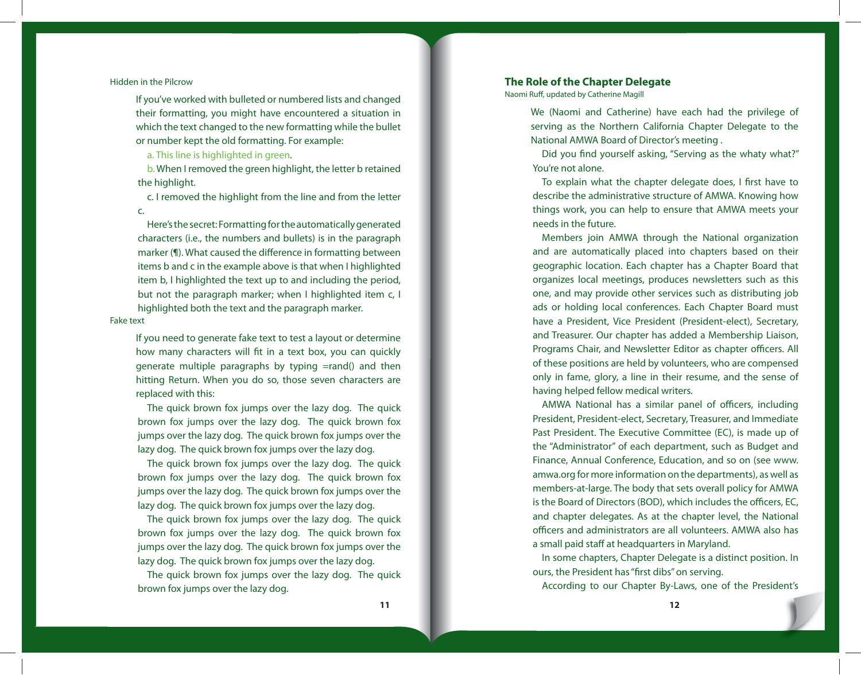#### Hidden in the Pilcrow

If you've worked with bulleted or numbered lists and changed their formatting, you might have encountered a situation in which the text changed to the new formatting while the bullet or number kept the old formatting. For example:

a. This line is highlighted in green.

b. When I removed the green highlight, the letter b retained the highlight.

c. I removed the highlight from the line and from the letter c.

Here's the secret: Formatting for the automatically generated characters (i.e., the numbers and bullets) is in the paragraph marker (¶). What caused the difference in formatting between items b and c in the example above is that when I highlighted item b, I highlighted the text up to and including the period, but not the paragraph marker; when I highlighted item c, I highlighted both the text and the paragraph marker.

#### Fake text

If you need to generate fake text to test a layout or determine how many characters will fit in a text box, you can quickly generate multiple paragraphs by typing =rand() and then hitting Return. When you do so, those seven characters are replaced with this:

The quick brown fox jumps over the lazy dog. The quick brown fox jumps over the lazy dog. The quick brown fox jumps over the lazy dog. The quick brown fox jumps over the lazy dog. The quick brown fox jumps over the lazy dog.

The quick brown fox jumps over the lazy dog. The quick brown fox jumps over the lazy dog. The quick brown fox jumps over the lazy dog. The quick brown fox jumps over the lazy dog. The quick brown fox jumps over the lazy dog.

The quick brown fox jumps over the lazy dog. The quick brown fox jumps over the lazy dog. The quick brown fox jumps over the lazy dog. The quick brown fox jumps over the lazy dog. The quick brown fox jumps over the lazy dog.

The quick brown fox jumps over the lazy dog. The quick brown fox jumps over the lazy dog.

#### **The Role of the Chapter Delegate**

Naomi Ruff, updated by Catherine Magill

We (Naomi and Catherine) have each had the privilege of serving as the Northern California Chapter Delegate to the National AMWA Board of Director's meeting .

Did you find yourself asking, "Serving as the whaty what?" You're not alone.

To explain what the chapter delegate does, I first have to describe the administrative structure of AMWA. Knowing how things work, you can help to ensure that AMWA meets your needs in the future.

Members join AMWA through the National organization and are automatically placed into chapters based on their geographic location. Each chapter has a Chapter Board that organizes local meetings, produces newsletters such as this one, and may provide other services such as distributing job ads or holding local conferences. Each Chapter Board must have a President, Vice President (President-elect), Secretary, and Treasurer. Our chapter has added a Membership Liaison, Programs Chair, and Newsletter Editor as chapter officers. All of these positions are held by volunteers, who are compensed only in fame, glory, a line in their resume, and the sense of having helped fellow medical writers.

AMWA National has a similar panel of officers, including President, President-elect, Secretary, Treasurer, and Immediate Past President. The Executive Committee (EC), is made up of the "Administrator" of each department, such as Budget and Finance, Annual Conference, Education, and so on (see www. amwa.org for more information on the departments), as well as members-at-large. The body that sets overall policy for AMWA is the Board of Directors (BOD), which includes the officers, EC, and chapter delegates. As at the chapter level, the National officers and administrators are all volunteers. AMWA also has a small paid staff at headquarters in Maryland.

In some chapters, Chapter Delegate is a distinct position. In ours, the President has "first dibs" on serving.

According to our Chapter By-Laws, one of the President's